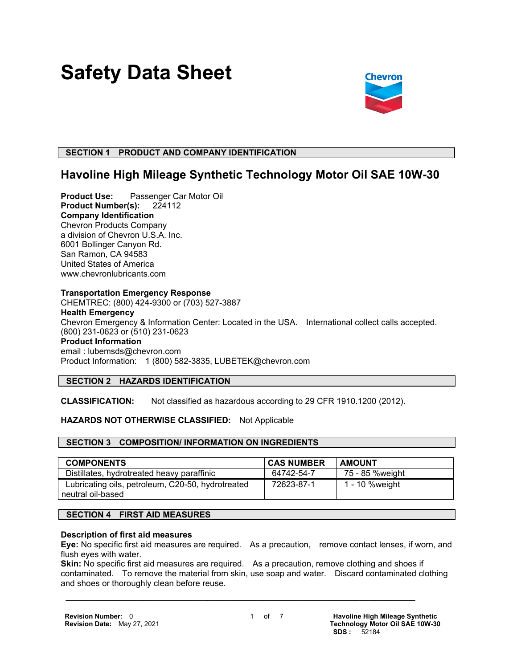# **Safety Data Sheet**



# **SECTION 1 PRODUCT AND COMPANY IDENTIFICATION**

# **Havoline High Mileage Synthetic Technology Motor Oil SAE 10W-30**

**Product Use:** Passenger Car Motor Oil **Product Number(s):** 224112 **Company Identification** Chevron Products Company a division of Chevron U.S.A. Inc. 6001 Bollinger Canyon Rd. San Ramon, CA 94583 United States of America www.chevronlubricants.com

#### **Transportation Emergency Response**

CHEMTREC: (800) 424-9300 or (703) 527-3887 **Health Emergency** Chevron Emergency & Information Center: Located in the USA. International collect calls accepted. (800) 231-0623 or (510) 231-0623 **Product Information** email : lubemsds@chevron.com Product Information: 1 (800) 582-3835, LUBETEK@chevron.com

# **SECTION 2 HAZARDS IDENTIFICATION**

**CLASSIFICATION:** Not classified as hazardous according to 29 CFR 1910.1200 (2012).

# **HAZARDS NOT OTHERWISE CLASSIFIED:** Not Applicable

# **SECTION 3 COMPOSITION/ INFORMATION ON INGREDIENTS**

| <b>COMPONENTS</b>                                 | <b>CAS NUMBER</b> | <b>AMOUNT</b>   |
|---------------------------------------------------|-------------------|-----------------|
| Distillates, hydrotreated heavy paraffinic        | 64742-54-7        | 75 - 85 %weight |
| Lubricating oils, petroleum, C20-50, hydrotreated | 72623-87-1        | 1 - 10 %weight  |
| neutral oil-based                                 |                   |                 |

# **SECTION 4 FIRST AID MEASURES**

#### **Description of first aid measures**

**Eye:** No specific first aid measures are required. As a precaution, remove contact lenses, if worn, and flush eyes with water.

**Skin:** No specific first aid measures are required. As a precaution, remove clothing and shoes if contaminated. To remove the material from skin, use soap and water. Discard contaminated clothing and shoes or thoroughly clean before reuse.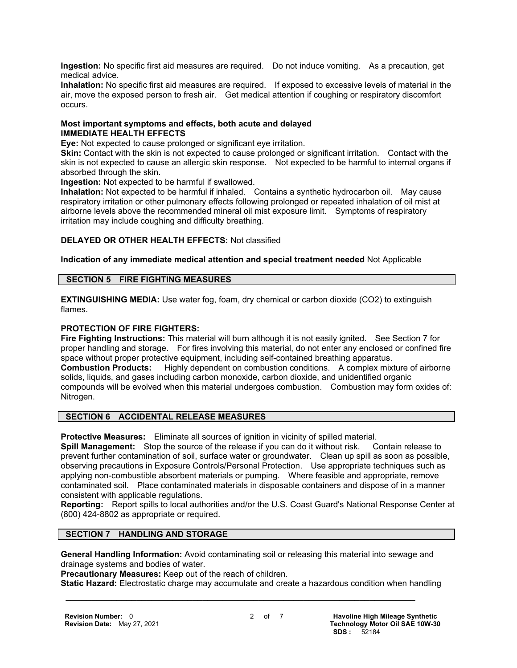**Ingestion:** No specific first aid measures are required. Do not induce vomiting. As a precaution, get medical advice.

**Inhalation:** No specific first aid measures are required. If exposed to excessive levels of material in the air, move the exposed person to fresh air. Get medical attention if coughing or respiratory discomfort occurs.

#### **Most important symptoms and effects, both acute and delayed IMMEDIATE HEALTH EFFECTS**

**Eye:** Not expected to cause prolonged or significant eye irritation.

**Skin:** Contact with the skin is not expected to cause prolonged or significant irritation. Contact with the skin is not expected to cause an allergic skin response. Not expected to be harmful to internal organs if absorbed through the skin.

**Ingestion:** Not expected to be harmful if swallowed.

**Inhalation:** Not expected to be harmful if inhaled. Contains a synthetic hydrocarbon oil. May cause respiratory irritation or other pulmonary effects following prolonged or repeated inhalation of oil mist at airborne levels above the recommended mineral oil mist exposure limit. Symptoms of respiratory irritation may include coughing and difficulty breathing.

# **DELAYED OR OTHER HEALTH EFFECTS:** Not classified

# **Indication of any immediate medical attention and special treatment needed** Not Applicable

#### **SECTION 5 FIRE FIGHTING MEASURES**

**EXTINGUISHING MEDIA:** Use water fog, foam, dry chemical or carbon dioxide (CO2) to extinguish flames.

# **PROTECTION OF FIRE FIGHTERS:**

**Fire Fighting Instructions:** This material will burn although it is not easily ignited. See Section 7 for proper handling and storage. For fires involving this material, do not enter any enclosed or confined fire space without proper protective equipment, including self-contained breathing apparatus. **Combustion Products:** Highly dependent on combustion conditions. A complex mixture of airborne solids, liquids, and gases including carbon monoxide, carbon dioxide, and unidentified organic compounds will be evolved when this material undergoes combustion. Combustion may form oxides of: Nitrogen.

# **SECTION 6 ACCIDENTAL RELEASE MEASURES**

**Protective Measures:** Eliminate all sources of ignition in vicinity of spilled material.

**Spill Management:** Stop the source of the release if you can do it without risk. Contain release to prevent further contamination of soil, surface water or groundwater. Clean up spill as soon as possible, observing precautions in Exposure Controls/Personal Protection. Use appropriate techniques such as applying non-combustible absorbent materials or pumping. Where feasible and appropriate, remove contaminated soil. Place contaminated materials in disposable containers and dispose of in a manner consistent with applicable regulations.

**Reporting:** Report spills to local authorities and/or the U.S. Coast Guard's National Response Center at (800) 424-8802 as appropriate or required.

#### **SECTION 7 HANDLING AND STORAGE**

**General Handling Information:** Avoid contaminating soil or releasing this material into sewage and drainage systems and bodies of water.

**Precautionary Measures:** Keep out of the reach of children.

**Static Hazard:** Electrostatic charge may accumulate and create a hazardous condition when handling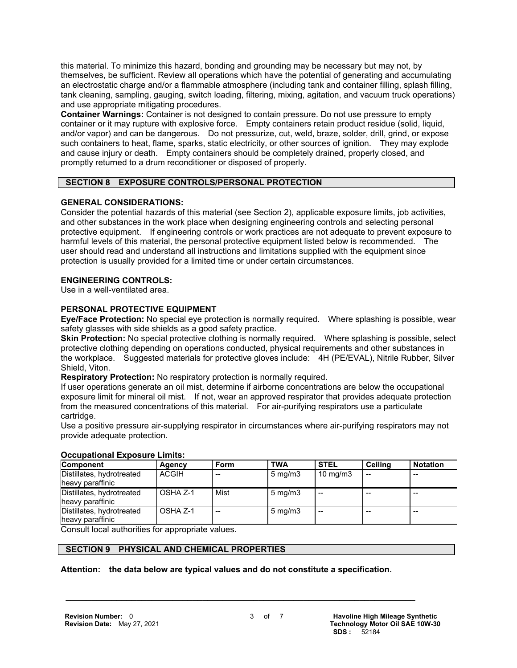this material. To minimize this hazard, bonding and grounding may be necessary but may not, by themselves, be sufficient. Review all operations which have the potential of generating and accumulating an electrostatic charge and/or a flammable atmosphere (including tank and container filling, splash filling, tank cleaning, sampling, gauging, switch loading, filtering, mixing, agitation, and vacuum truck operations) and use appropriate mitigating procedures.

**Container Warnings:** Container is not designed to contain pressure. Do not use pressure to empty container or it may rupture with explosive force. Empty containers retain product residue (solid, liquid, and/or vapor) and can be dangerous. Do not pressurize, cut, weld, braze, solder, drill, grind, or expose such containers to heat, flame, sparks, static electricity, or other sources of ignition. They may explode and cause injury or death. Empty containers should be completely drained, properly closed, and promptly returned to a drum reconditioner or disposed of properly.

# **SECTION 8 EXPOSURE CONTROLS/PERSONAL PROTECTION**

# **GENERAL CONSIDERATIONS:**

Consider the potential hazards of this material (see Section 2), applicable exposure limits, job activities, and other substances in the work place when designing engineering controls and selecting personal protective equipment. If engineering controls or work practices are not adequate to prevent exposure to harmful levels of this material, the personal protective equipment listed below is recommended. The user should read and understand all instructions and limitations supplied with the equipment since protection is usually provided for a limited time or under certain circumstances.

# **ENGINEERING CONTROLS:**

Use in a well-ventilated area.

# **PERSONAL PROTECTIVE EQUIPMENT**

**Eye/Face Protection:** No special eye protection is normally required. Where splashing is possible, wear safety glasses with side shields as a good safety practice.

**Skin Protection:** No special protective clothing is normally required. Where splashing is possible, select protective clothing depending on operations conducted, physical requirements and other substances in the workplace. Suggested materials for protective gloves include: 4H (PE/EVAL), Nitrile Rubber, Silver Shield, Viton.

**Respiratory Protection:** No respiratory protection is normally required.

If user operations generate an oil mist, determine if airborne concentrations are below the occupational exposure limit for mineral oil mist. If not, wear an approved respirator that provides adequate protection from the measured concentrations of this material. For air-purifying respirators use a particulate cartridge.

Use a positive pressure air-supplying respirator in circumstances where air-purifying respirators may not provide adequate protection.

| ooogpanonal Exposare Ellinoi                  |              |      |                  |                   |         |                 |  |
|-----------------------------------------------|--------------|------|------------------|-------------------|---------|-----------------|--|
| <b>Component</b>                              | Agency       | Form | <b>TWA</b>       | <b>STEL</b>       | Ceilina | <b>Notation</b> |  |
| Distillates, hydrotreated<br>heavy paraffinic | <b>ACGIH</b> |      | $5 \text{ mg/m}$ | $10 \text{ mg/m}$ |         | --              |  |
| Distillates, hydrotreated<br>heavy paraffinic | OSHA Z-1     | Mist | $5 \text{ mg/m}$ |                   |         |                 |  |
| Distillates, hydrotreated<br>heavy paraffinic | OSHA Z-1     |      | $5 \text{ mg/m}$ |                   |         |                 |  |

# **Occupational Exposure Limits:**

Consult local authorities for appropriate values.

# **SECTION 9 PHYSICAL AND CHEMICAL PROPERTIES**

#### **Attention: the data below are typical values and do not constitute a specification.**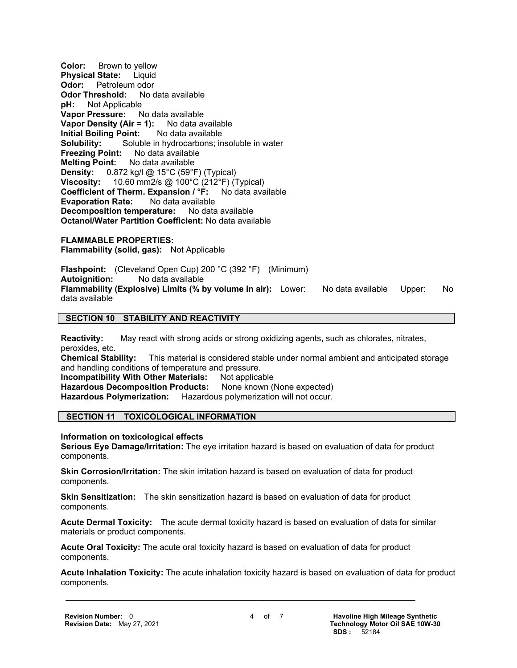**Color:** Brown to yellow **Physical State:** Liquid **Odor:** Petroleum odor **Odor Threshold:** No data available **pH:** Not Applicable **Vapor Pressure:** No data available **Vapor Density (Air = 1):** No data available **Initial Boiling Point:** No data available **Solubility:** Soluble in hydrocarbons; insoluble in water<br>**Freezing Point:** No data available **Freezing Point: Melting Point:** No data available **Density:** 0.872 kg/l @ 15°C (59°F) (Typical) **Viscosity:** 10.60 mm2/s @ 100°C (212°F) (Typical) **Coefficient of Therm. Expansion / °F:** No data available **Evaporation Rate:** No data available **Decomposition temperature:** No data available **Octanol/Water Partition Coefficient:** No data available

**FLAMMABLE PROPERTIES: Flammability (solid, gas):** Not Applicable

**Flashpoint:** (Cleveland Open Cup) 200 °C (392 °F) (Minimum)<br>**Autoignition:** No data available **Autoignition:** No data available **Flammability (Explosive) Limits (% by volume in air):** Lower: No data available Upper: No data available

# **SECTION 10 STABILITY AND REACTIVITY**

**Reactivity:** May react with strong acids or strong oxidizing agents, such as chlorates, nitrates, peroxides, etc.

**Chemical Stability:** This material is considered stable under normal ambient and anticipated storage and handling conditions of temperature and pressure.

**Incompatibility With Other Materials:** Not applicable

**Hazardous Decomposition Products:** None known (None expected)

**Hazardous Polymerization:** Hazardous polymerization will not occur.

# **SECTION 11 TOXICOLOGICAL INFORMATION**

**Information on toxicological effects**

**Serious Eye Damage/Irritation:** The eye irritation hazard is based on evaluation of data for product components.

**Skin Corrosion/Irritation:** The skin irritation hazard is based on evaluation of data for product components.

**Skin Sensitization:** The skin sensitization hazard is based on evaluation of data for product components.

**Acute Dermal Toxicity:** The acute dermal toxicity hazard is based on evaluation of data for similar materials or product components.

**Acute Oral Toxicity:** The acute oral toxicity hazard is based on evaluation of data for product components.

 $\mathcal{L} = \{ \mathcal{L} \mathcal{L} \mathcal{L} \mathcal{L} \mathcal{L} \mathcal{L} \mathcal{L} \mathcal{L} \mathcal{L} \mathcal{L} \mathcal{L} \mathcal{L} \mathcal{L} \mathcal{L} \mathcal{L} \mathcal{L} \mathcal{L} \mathcal{L} \mathcal{L} \mathcal{L} \mathcal{L} \mathcal{L} \mathcal{L} \mathcal{L} \mathcal{L} \mathcal{L} \mathcal{L} \mathcal{L} \mathcal{L} \mathcal{L} \mathcal{L} \mathcal{L} \mathcal{L} \mathcal{L} \mathcal{L} \$ 

**Acute Inhalation Toxicity:** The acute inhalation toxicity hazard is based on evaluation of data for product components.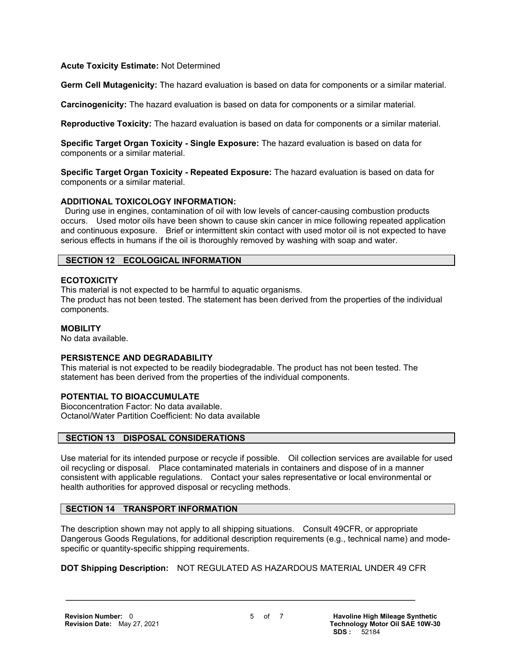#### **Acute Toxicity Estimate:** Not Determined

**Germ Cell Mutagenicity:** The hazard evaluation is based on data for components or a similar material.

**Carcinogenicity:** The hazard evaluation is based on data for components or a similar material.

**Reproductive Toxicity:** The hazard evaluation is based on data for components or a similar material.

**Specific Target Organ Toxicity - Single Exposure:** The hazard evaluation is based on data for components or a similar material.

**Specific Target Organ Toxicity - Repeated Exposure:** The hazard evaluation is based on data for components or a similar material.

# **ADDITIONAL TOXICOLOGY INFORMATION:**

 During use in engines, contamination of oil with low levels of cancer-causing combustion products occurs. Used motor oils have been shown to cause skin cancer in mice following repeated application and continuous exposure. Brief or intermittent skin contact with used motor oil is not expected to have serious effects in humans if the oil is thoroughly removed by washing with soap and water.

# **SECTION 12 ECOLOGICAL INFORMATION**

#### **ECOTOXICITY**

This material is not expected to be harmful to aquatic organisms. The product has not been tested. The statement has been derived from the properties of the individual components.

#### **MOBILITY**

No data available.

# **PERSISTENCE AND DEGRADABILITY**

This material is not expected to be readily biodegradable. The product has not been tested. The statement has been derived from the properties of the individual components.

# **POTENTIAL TO BIOACCUMULATE**

Bioconcentration Factor: No data available. Octanol/Water Partition Coefficient: No data available

#### **SECTION 13 DISPOSAL CONSIDERATIONS**

Use material for its intended purpose or recycle if possible. Oil collection services are available for used oil recycling or disposal. Place contaminated materials in containers and dispose of in a manner consistent with applicable regulations. Contact your sales representative or local environmental or health authorities for approved disposal or recycling methods.

# **SECTION 14 TRANSPORT INFORMATION**

The description shown may not apply to all shipping situations. Consult 49CFR, or appropriate Dangerous Goods Regulations, for additional description requirements (e.g., technical name) and modespecific or quantity-specific shipping requirements.

**DOT Shipping Description:** NOT REGULATED AS HAZARDOUS MATERIAL UNDER 49 CFR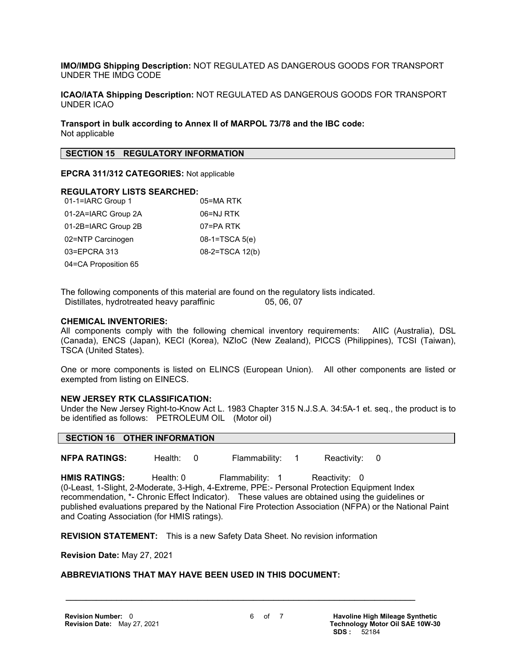**IMO/IMDG Shipping Description:** NOT REGULATED AS DANGEROUS GOODS FOR TRANSPORT UNDER THE IMDG CODE

**ICAO/IATA Shipping Description:** NOT REGULATED AS DANGEROUS GOODS FOR TRANSPORT UNDER ICAO

**Transport in bulk according to Annex II of MARPOL 73/78 and the IBC code:** Not applicable

#### **SECTION 15 REGULATORY INFORMATION**

**EPCRA 311/312 CATEGORIES:** Not applicable

#### **REGULATORY LISTS SEARCHED:**

| 01-1=IARC Group 1    | 05=MA RTK        |
|----------------------|------------------|
| 01-2A=IARC Group 2A  | 06=NJ RTK        |
| 01-2B=IARC Group 2B  | 07=PA RTK        |
| 02=NTP Carcinogen    | $08-1=TSCA 5(e)$ |
| 03=EPCRA 313         | 08-2=TSCA 12(b)  |
| 04=CA Proposition 65 |                  |

The following components of this material are found on the regulatory lists indicated. Distillates, hydrotreated heavy paraffinic 05, 06, 07

#### **CHEMICAL INVENTORIES:**

All components comply with the following chemical inventory requirements: AIIC (Australia), DSL (Canada), ENCS (Japan), KECI (Korea), NZIoC (New Zealand), PICCS (Philippines), TCSI (Taiwan), TSCA (United States).

One or more components is listed on ELINCS (European Union). All other components are listed or exempted from listing on EINECS.

#### **NEW JERSEY RTK CLASSIFICATION:**

Under the New Jersey Right-to-Know Act L. 1983 Chapter 315 N.J.S.A. 34:5A-1 et. seq., the product is to be identified as follows: PETROLEUM OIL (Motor oil)

#### **SECTION 16 OTHER INFORMATION**

**NFPA RATINGS:** Health: 0 Flammability: 1 Reactivity: 0

HMIS RATINGS: Health: 0 Flammability: 1 Reactivity: 0 (0-Least, 1-Slight, 2-Moderate, 3-High, 4-Extreme, PPE:- Personal Protection Equipment Index recommendation, \*- Chronic Effect Indicator). These values are obtained using the guidelines or published evaluations prepared by the National Fire Protection Association (NFPA) or the National Paint and Coating Association (for HMIS ratings).

**REVISION STATEMENT:** This is a new Safety Data Sheet. No revision information

 $\mathcal{L} = \{ \mathcal{L} \mathcal{L} \mathcal{L} \mathcal{L} \mathcal{L} \mathcal{L} \mathcal{L} \mathcal{L} \mathcal{L} \mathcal{L} \mathcal{L} \mathcal{L} \mathcal{L} \mathcal{L} \mathcal{L} \mathcal{L} \mathcal{L} \mathcal{L} \mathcal{L} \mathcal{L} \mathcal{L} \mathcal{L} \mathcal{L} \mathcal{L} \mathcal{L} \mathcal{L} \mathcal{L} \mathcal{L} \mathcal{L} \mathcal{L} \mathcal{L} \mathcal{L} \mathcal{L} \mathcal{L} \mathcal{L} \$ 

**Revision Date:** May 27, 2021

#### **ABBREVIATIONS THAT MAY HAVE BEEN USED IN THIS DOCUMENT:**